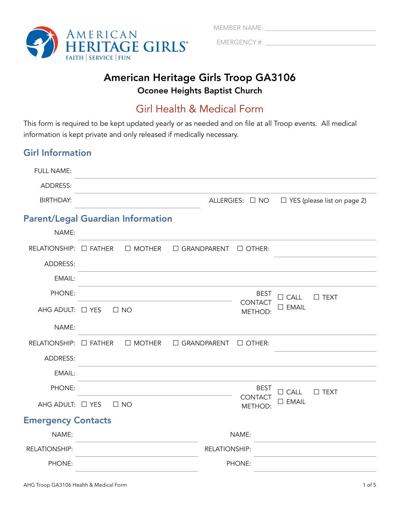

MEMBER NAME: \_\_\_\_\_\_\_\_\_\_\_\_\_\_\_\_\_\_\_\_\_\_\_\_\_\_\_\_\_\_\_\_\_\_

EMERGENCY #: \_\_\_\_\_\_\_\_\_\_\_\_\_\_\_\_\_\_\_\_\_\_\_\_\_\_\_\_\_\_\_\_\_\_

# American Heritage Girls Troop GA3106 Oconee Heights Baptist Church

# Girl Health & Medical Form

This form is required to be kept updated yearly or as needed and on file at all Troop events. All medical information is kept private and only released if medically necessary.

# Girl Information

| <b>FULL NAME:</b>         |                                          |                                     |                                    |
|---------------------------|------------------------------------------|-------------------------------------|------------------------------------|
| ADDRESS:                  |                                          |                                     |                                    |
| <b>BIRTHDAY:</b>          |                                          | ALLERGIES: □ NO                     | $\Box$ YES (please list on page 2) |
|                           | <b>Parent/Legal Guardian Information</b> |                                     |                                    |
| NAME:                     |                                          |                                     |                                    |
| RELATIONSHIP: □ FATHER    | $\Box$ MOTHER                            | $\Box$ GRANDPARENT<br>$\Box$ OTHER: |                                    |
| ADDRESS:                  |                                          |                                     |                                    |
| EMAIL:                    |                                          |                                     |                                    |
| PHONE:                    |                                          | <b>BEST</b>                         | $\Box$ CALL<br>$\square$ TEXT      |
| AHG ADULT: □ YES          | $\square$ NO                             | <b>CONTACT</b><br>METHOD:           | $\square$ EMAIL                    |
| NAME:                     |                                          |                                     |                                    |
| RELATIONSHIP: □ FATHER    | $\Box$ MOTHER                            | □ GRANDPARENT<br>$\Box$ OTHER:      |                                    |
| ADDRESS:                  |                                          |                                     |                                    |
| EMAIL:                    |                                          |                                     |                                    |
| PHONE:                    |                                          | <b>BEST</b>                         | $\Box$ CALL<br>$\square$ TEXT      |
| AHG ADULT: □ YES          | $\Box$ NO                                | <b>CONTACT</b><br>METHOD:           | $\square$ EMAIL                    |
| <b>Emergency Contacts</b> |                                          |                                     |                                    |
| NAME:                     |                                          | NAME:                               |                                    |
| <b>RELATIONSHIP:</b>      |                                          | RELATIONSHIP:                       |                                    |
| PHONE:                    |                                          | PHONE:                              |                                    |
|                           |                                          |                                     |                                    |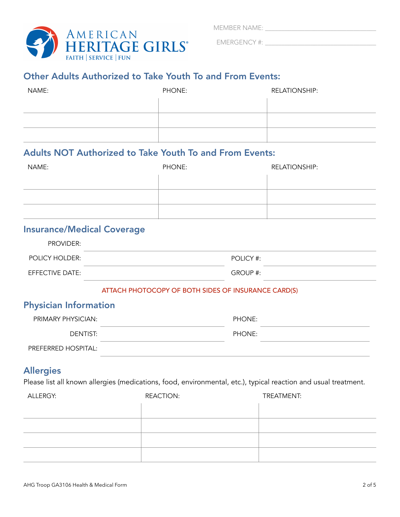MEMBER NAME: \_\_\_\_\_\_\_\_\_\_\_\_\_\_\_\_\_\_\_\_\_\_\_\_\_\_\_\_\_\_\_\_\_\_



EMERGENCY #: \_\_\_\_\_\_\_\_\_\_\_\_\_\_\_\_\_\_\_\_\_\_\_\_\_\_\_\_\_\_\_\_\_\_

# Other Adults Authorized to Take Youth To and From Events:

| NAME: | PHONE: | <b>RELATIONSHIP:</b> |
|-------|--------|----------------------|
|       |        |                      |
|       |        |                      |
|       |        |                      |

## Adults NOT Authorized to Take Youth To and From Events:

| NAME: | PHONE: | <b>RELATIONSHIP:</b> |
|-------|--------|----------------------|
|       |        |                      |
|       |        |                      |
|       |        |                      |

## Insurance/Medical Coverage

| <b>PROVIDER:</b>       |           |
|------------------------|-----------|
| POLICY HOLDER:         | POLICY #: |
| <b>EFFECTIVE DATE:</b> | GROUP #:  |

#### ATTACH PHOTOCOPY OF BOTH SIDES OF INSURANCE CARD(S)

#### Physician Information

| PRIMARY PHYSICIAN:  | PHONE: |  |
|---------------------|--------|--|
| DENTIST:            | PHONE: |  |
| PREFERRED HOSPITAL: |        |  |

#### Allergies

Please list all known allergies (medications, food, environmental, etc.), typical reaction and usual treatment.

| ALLERGY: | <b>REACTION:</b> | TREATMENT: |
|----------|------------------|------------|
|          |                  |            |
|          |                  |            |
|          |                  |            |
|          |                  |            |
|          |                  |            |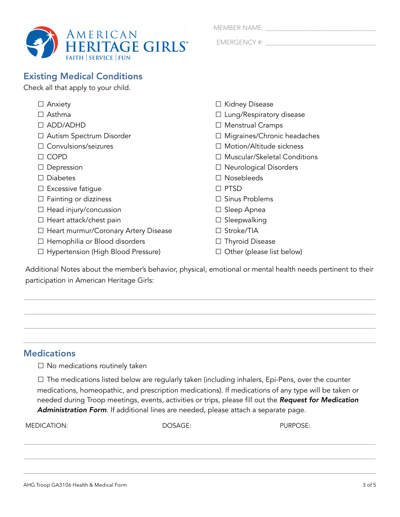

Check all that apply to your child.

| eck all that apply to your child.           |                                     |
|---------------------------------------------|-------------------------------------|
| $\Box$ Anxiety                              | $\Box$ Kidney Disease               |
| $\Box$ Asthma                               | $\Box$ Lung/Respiratory disease     |
| $\Box$ ADD/ADHD                             | $\Box$ Menstrual Cramps             |
| $\Box$ Autism Spectrum Disorder             | $\Box$ Migraines/Chronic headaches  |
| $\Box$ Convulsions/seizures                 | $\Box$ Motion/Altitude sickness     |
| $\Box$ COPD                                 | $\Box$ Muscular/Skeletal Conditions |
| $\Box$ Depression                           | $\Box$ Neurological Disorders       |
| $\Box$ Diabetes                             | $\Box$ Nosebleeds                   |
| $\Box$ Excessive fatigue                    | $\Box$ PTSD                         |
| $\Box$ Fainting or dizziness                | $\Box$ Sinus Problems               |
| $\Box$ Head injury/concussion               | $\Box$ Sleep Apnea                  |
| $\Box$ Heart attack/chest pain              | $\Box$ Sleepwalking                 |
| $\Box$ Heart murmur/Coronary Artery Disease | $\Box$ Stroke/TIA                   |
| $\Box$ Hemophilia or Blood disorders        | $\Box$ Thyroid Disease              |
| □ Hypertension (High Blood Pressure)        | Other (please list below)           |

Additional Notes about the member's behavior, physical, emotional or mental health needs pertinent to their participation in American Heritage Girls:

## **Medications**

☐ No medications routinely taken

□ The medications listed below are regularly taken (including inhalers, Epi-Pens, over the counter medications, homeopathic, and prescription medications). If medications of any type will be taken or needed during Troop meetings, events, activities or trips, please fill out the *Request for Medication Administration Form*. If additional lines are needed, please attach a separate page.

MEDICATION: DOSAGE: PURPOSE:

MEMBER NAME: \_\_\_\_\_\_\_\_\_\_\_\_\_\_\_\_\_\_\_\_\_\_\_\_\_\_\_\_\_\_\_\_\_\_

EMERGENCY #: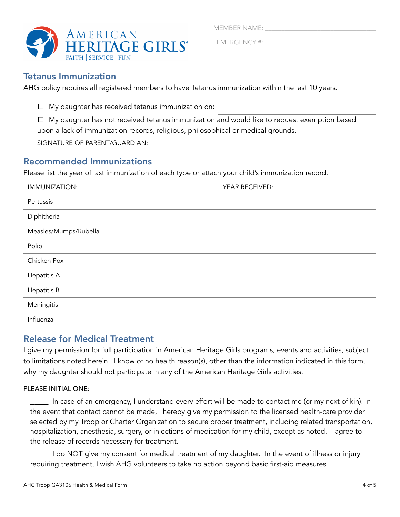MEMBER NAME:



EMERGENCY #:

#### Tetanus Immunization

AHG policy requires all registered members to have Tetanus immunization within the last 10 years.

 $\Box$  My daughter has received tetanus immunization on:

☐ My daughter has not received tetanus immunization and would like to request exemption based upon a lack of immunization records, religious, philosophical or medical grounds.

SIGNATURE OF PARENT/GUARDIAN:

## Recommended Immunizations

Please list the year of last immunization of each type or attach your child's immunization record.

| IMMUNIZATION:         | YEAR RECEIVED: |
|-----------------------|----------------|
| Pertussis             |                |
| Diphitheria           |                |
| Measles/Mumps/Rubella |                |
| Polio                 |                |
| Chicken Pox           |                |
| Hepatitis A           |                |
| Hepatitis B           |                |
| Meningitis            |                |
| Influenza             |                |

#### Release for Medical Treatment

I give my permission for full participation in American Heritage Girls programs, events and activities, subject to limitations noted herein. I know of no health reason(s), other than the information indicated in this form, why my daughter should not participate in any of the American Heritage Girls activities.

#### PLEASE INITIAL ONE:

\_\_\_\_ In case of an emergency, I understand every effort will be made to contact me (or my next of kin). In the event that contact cannot be made, I hereby give my permission to the licensed health-care provider selected by my Troop or Charter Organization to secure proper treatment, including related transportation, hospitalization, anesthesia, surgery, or injections of medication for my child, except as noted. I agree to the release of records necessary for treatment.

Lackstand I do NOT give my consent for medical treatment of my daughter. In the event of illness or injury requiring treatment, I wish AHG volunteers to take no action beyond basic first-aid measures.